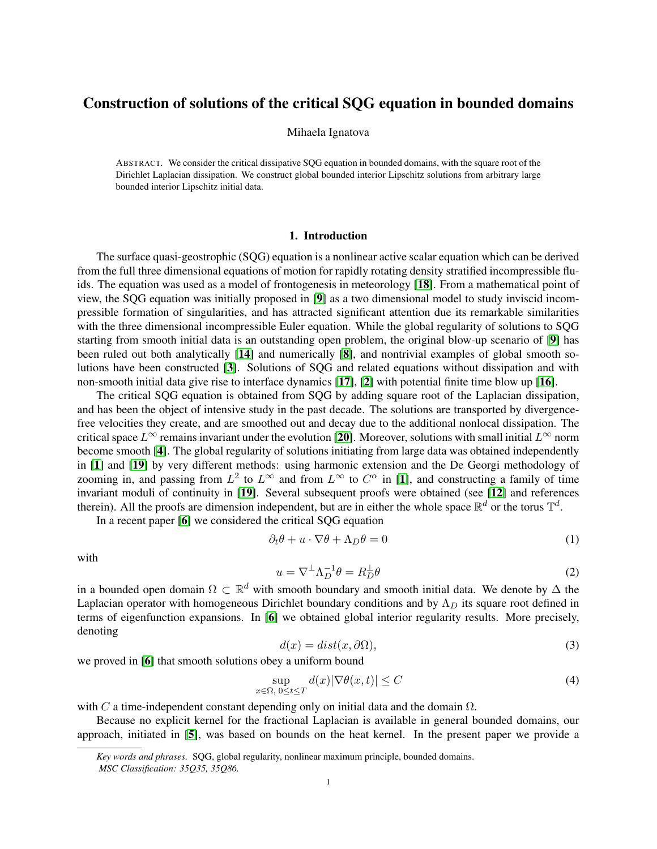# Construction of solutions of the critical SQG equation in bounded domains

### Mihaela Ignatova

ABSTRACT. We consider the critical dissipative SQG equation in bounded domains, with the square root of the Dirichlet Laplacian dissipation. We construct global bounded interior Lipschitz solutions from arbitrary large bounded interior Lipschitz initial data.

## 1. Introduction

The surface quasi-geostrophic (SQG) equation is a nonlinear active scalar equation which can be derived from the full three dimensional equations of motion for rapidly rotating density stratified incompressible fluids. The equation was used as a model of frontogenesis in meteorology [[18](#page-14-0)]. From a mathematical point of view, the SQG equation was initially proposed in [[9](#page-14-1)] as a two dimensional model to study inviscid incompressible formation of singularities, and has attracted significant attention due its remarkable similarities with the three dimensional incompressible Euler equation. While the global regularity of solutions to SQG starting from smooth initial data is an outstanding open problem, the original blow-up scenario of [[9](#page-14-1)] has been ruled out both analytically [[14](#page-14-2)] and numerically [[8](#page-14-3)], and nontrivial examples of global smooth solutions have been constructed [[3](#page-14-4)]. Solutions of SQG and related equations without dissipation and with non-smooth initial data give rise to interface dynamics [[17](#page-14-5)], [[2](#page-14-6)] with potential finite time blow up [[16](#page-14-7)].

The critical SQG equation is obtained from SQG by adding square root of the Laplacian dissipation, and has been the object of intensive study in the past decade. The solutions are transported by divergencefree velocities they create, and are smoothed out and decay due to the additional nonlocal dissipation. The critical space  $L^{\infty}$  remains invariant under the evolution [[20](#page-14-8)]. Moreover, solutions with small initial  $L^{\infty}$  norm become smooth [[4](#page-14-9)]. The global regularity of solutions initiating from large data was obtained independently in [[1](#page-14-10)] and [[19](#page-14-11)] by very different methods: using harmonic extension and the De Georgi methodology of zooming in, and passing from  $L^2$  to  $L^{\infty}$  and from  $L^{\infty}$  to  $C^{\alpha}$  in [[1](#page-14-10)], and constructing a family of time invariant moduli of continuity in [[19](#page-14-11)]. Several subsequent proofs were obtained (see [[12](#page-14-12)] and references therein). All the proofs are dimension independent, but are in either the whole space  $\mathbb{R}^d$  or the torus  $\mathbb{T}^d$ .

In a recent paper [[6](#page-14-13)] we considered the critical SQG equation

<span id="page-0-1"></span>
$$
\partial_t \theta + u \cdot \nabla \theta + \Lambda_D \theta = 0 \tag{1}
$$

with

$$
u = \nabla^{\perp} \Lambda_D^{-1} \theta = R_D^{\perp} \theta \tag{2}
$$

in a bounded open domain  $\Omega \subset \mathbb{R}^d$  with smooth boundary and smooth initial data. We denote by  $\Delta$  the Laplacian operator with homogeneous Dirichlet boundary conditions and by  $\Lambda_D$  its square root defined in terms of eigenfunction expansions. In [[6](#page-14-13)] we obtained global interior regularity results. More precisely, denoting

$$
d(x) = dist(x, \partial \Omega),\tag{3}
$$

we proved in [[6](#page-14-13)] that smooth solutions obey a uniform bound

<span id="page-0-0"></span>
$$
\sup_{x \in \Omega, \ 0 \le t \le T} d(x) |\nabla \theta(x, t)| \le C \tag{4}
$$

with C a time-independent constant depending only on initial data and the domain  $\Omega$ .

Because no explicit kernel for the fractional Laplacian is available in general bounded domains, our approach, initiated in [[5](#page-14-14)], was based on bounds on the heat kernel. In the present paper we provide a

*Key words and phrases.* SQG, global regularity, nonlinear maximum principle, bounded domains. *MSC Classification: 35Q35, 35Q86.*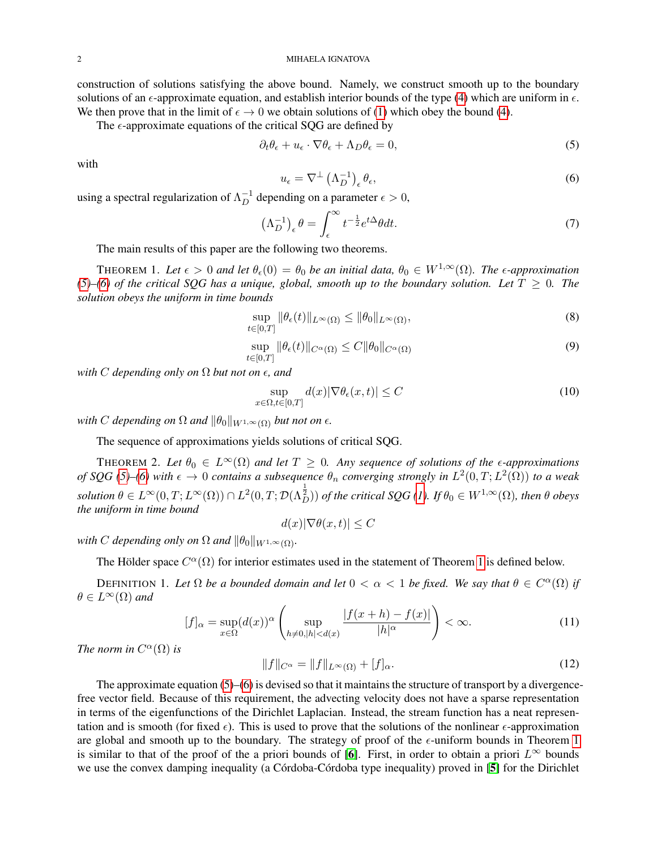2 MIHAELA IGNATOVA

The  $\epsilon$ -approximate equations of the critical SQG are defined by

<span id="page-1-0"></span>
$$
\partial_t \theta_{\epsilon} + u_{\epsilon} \cdot \nabla \theta_{\epsilon} + \Lambda_D \theta_{\epsilon} = 0, \tag{5}
$$

with

<span id="page-1-1"></span>
$$
u_{\epsilon} = \nabla^{\perp} \left( \Lambda_D^{-1} \right)_{\epsilon} \theta_{\epsilon}, \tag{6}
$$

using a spectral regularization of  $\Lambda_D^{-1}$  depending on a parameter  $\epsilon > 0$ ,

$$
\left(\Lambda_D^{-1}\right)_\epsilon \theta = \int_\epsilon^\infty t^{-\frac{1}{2}} e^{t\Delta} \theta dt. \tag{7}
$$

The main results of this paper are the following two theorems.

<span id="page-1-2"></span>THEOREM 1. Let  $\epsilon > 0$  and let  $\theta_{\epsilon}(0) = \theta_0$  be an initial data,  $\theta_0 \in W^{1,\infty}(\Omega)$ . The  $\epsilon$ -approximation [\(5\)](#page-1-0)–[\(6\)](#page-1-1) of the critical SQG has a unique, global, smooth up to the boundary solution. Let  $T \geq 0$ . The *solution obeys the uniform in time bounds*

$$
\sup_{t\in[0,T]}\|\theta_{\epsilon}(t)\|_{L^{\infty}(\Omega)} \le \|\theta_0\|_{L^{\infty}(\Omega)},
$$
\n(8)

$$
\sup_{t \in [0,T]} \|\theta_{\epsilon}(t)\|_{C^{\alpha}(\Omega)} \le C \|\theta_0\|_{C^{\alpha}(\Omega)} \tag{9}
$$

*with* C *depending only on*  $\Omega$  *but not on*  $\epsilon$ *, and* 

$$
\sup_{x \in \Omega, t \in [0,T]} d(x) |\nabla \theta_{\epsilon}(x,t)| \le C \tag{10}
$$

*with C* depending on  $\Omega$  and  $\|\theta_0\|_{W^{1,\infty}(\Omega)}$  but not on  $\epsilon$ .

The sequence of approximations yields solutions of critical SQG.

<span id="page-1-3"></span>THEOREM 2. Let  $\theta_0 \in L^{\infty}(\Omega)$  and let  $T \geq 0$ . Any sequence of solutions of the *e-approximations of* SQG [\(5\)](#page-1-0)–[\(6\)](#page-1-1) with  $\epsilon \to 0$  contains a subsequence  $\theta_n$  converging strongly in  $L^2(0,T; L^2(\Omega))$  to a weak  $solution~\theta\in L^\infty(0,T;L^\infty(\Omega))\cap L^2(0,T;\mathcal{D}(\Lambda_D^\frac{1}{2}))$  *of the critical SQG [\(1\)](#page-0-1). If*  $\theta_0\in W^{1,\infty}(\Omega)$ *, then*  $\theta$  *obeys the uniform in time bound*

 $d(x)|\nabla \theta(x,t)| \leq C$ 

*with C depending only on*  $\Omega$  *and*  $\|\theta_0\|_{W^{1,\infty}(\Omega)}$ *.* 

The Hölder space  $C^{\alpha}(\Omega)$  for interior estimates used in the statement of Theorem [1](#page-1-2) is defined below.

DEFINITION 1. Let  $\Omega$  be a bounded domain and let  $0 < \alpha < 1$  be fixed. We say that  $\theta \in C^{\alpha}(\Omega)$  if  $\theta \in L^{\infty}(\Omega)$  and

$$
[f]_{\alpha} = \sup_{x \in \Omega} (d(x))^{\alpha} \left( \sup_{h \neq 0, |h| < d(x)} \frac{|f(x+h) - f(x)|}{|h|^{\alpha}} \right) < \infty. \tag{11}
$$

*The norm in*  $C^{\alpha}(\Omega)$  *is* 

$$
||f||_{C^{\alpha}} = ||f||_{L^{\infty}(\Omega)} + [f]_{\alpha}.
$$
\n(12)

The approximate equation  $(5)$ – $(6)$  is devised so that it maintains the structure of transport by a divergencefree vector field. Because of this requirement, the advecting velocity does not have a sparse representation in terms of the eigenfunctions of the Dirichlet Laplacian. Instead, the stream function has a neat representation and is smooth (for fixed  $\epsilon$ ). This is used to prove that the solutions of the nonlinear  $\epsilon$ -approximation are global and smooth up to the boundary. The strategy of proof of the  $\epsilon$ -uniform bounds in Theorem [1](#page-1-2) is similar to that of the proof of the a priori bounds of [[6](#page-14-13)]. First, in order to obtain a priori  $L^{\infty}$  bounds we use the convex damping inequality (a Córdoba-Córdoba type inequality) proved in [[5](#page-14-14)] for the Dirichlet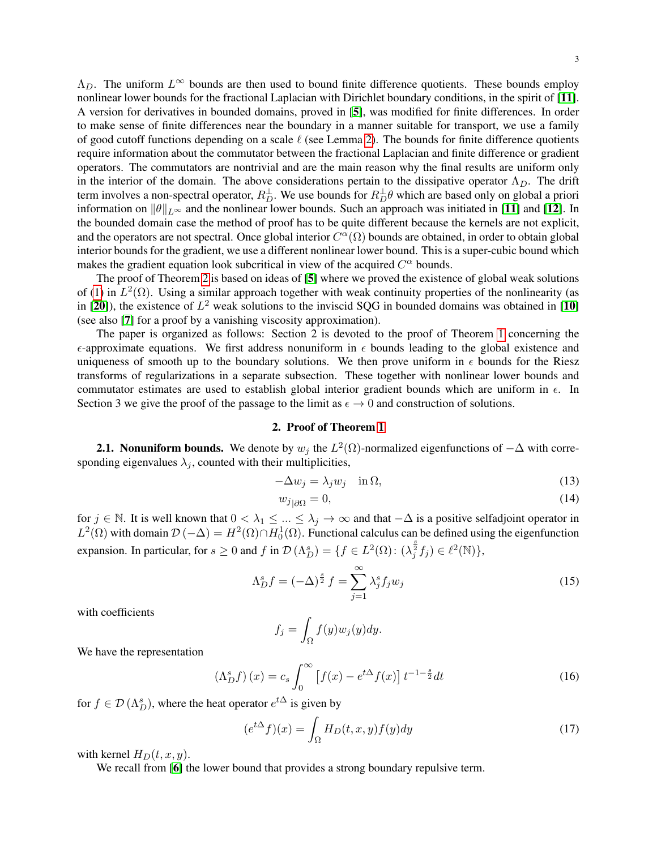3

 $\Lambda_D$ . The uniform  $L^{\infty}$  bounds are then used to bound finite difference quotients. These bounds employ nonlinear lower bounds for the fractional Laplacian with Dirichlet boundary conditions, in the spirit of [[11](#page-14-15)]. A version for derivatives in bounded domains, proved in [[5](#page-14-14)], was modified for finite differences. In order to make sense of finite differences near the boundary in a manner suitable for transport, we use a family of good cutoff functions depending on a scale  $\ell$  (see Lemma [2\)](#page-4-0). The bounds for finite difference quotients require information about the commutator between the fractional Laplacian and finite difference or gradient operators. The commutators are nontrivial and are the main reason why the final results are uniform only in the interior of the domain. The above considerations pertain to the dissipative operator  $\Lambda_D$ . The drift term involves a non-spectral operator,  $R_D^{\perp}$ . We use bounds for  $R_D^{\perp}\theta$  which are based only on global a priori information on  $\|\theta\|_{L^{\infty}}$  and the nonlinear lower bounds. Such an approach was initiated in [[11](#page-14-15)] and [[12](#page-14-12)]. In the bounded domain case the method of proof has to be quite different because the kernels are not explicit, and the operators are not spectral. Once global interior  $C^{\alpha}(\Omega)$  bounds are obtained, in order to obtain global interior bounds for the gradient, we use a different nonlinear lower bound. This is a super-cubic bound which makes the gradient equation look subcritical in view of the acquired  $C^{\alpha}$  bounds.

The proof of Theorem [2](#page-1-3) is based on ideas of [[5](#page-14-14)] where we proved the existence of global weak solutions of [\(1\)](#page-0-1) in  $L^2(\Omega)$ . Using a similar approach together with weak continuity properties of the nonlinearity (as in [[20](#page-14-8)]), the existence of  $L^2$  weak solutions to the inviscid SQG in bounded domains was obtained in [[10](#page-14-16)] (see also [[7](#page-14-17)] for a proof by a vanishing viscosity approximation).

The paper is organized as follows: Section 2 is devoted to the proof of Theorem [1](#page-1-2) concerning the  $\epsilon$ -approximate equations. We first address nonuniform in  $\epsilon$  bounds leading to the global existence and uniqueness of smooth up to the boundary solutions. We then prove uniform in  $\epsilon$  bounds for the Riesz transforms of regularizations in a separate subsection. These together with nonlinear lower bounds and commutator estimates are used to establish global interior gradient bounds which are uniform in  $\epsilon$ . In Section 3 we give the proof of the passage to the limit as  $\epsilon \to 0$  and construction of solutions.

## 2. Proof of Theorem [1](#page-1-2)

**2.1. Nonuniform bounds.** We denote by  $w_j$  the  $L^2(\Omega)$ -normalized eigenfunctions of  $-\Delta$  with corresponding eigenvalues  $\lambda_i$ , counted with their multiplicities,

$$
-\Delta w_j = \lambda_j w_j \quad \text{in } \Omega,\tag{13}
$$

$$
w_{j\vert\partial\Omega} = 0,\tag{14}
$$

for  $j \in \mathbb{N}$ . It is well known that  $0 < \lambda_1 \leq ... \leq \lambda_j \to \infty$  and that  $-\Delta$  is a positive selfadjoint operator in  $L^2(\Omega)$  with domain  $\mathcal{D}(-\Delta) = H^2(\Omega) \cap H_0^1(\Omega)$ . Functional calculus can be defined using the eigenfunction expansion. In particular, for  $s \ge 0$  and f in  $\mathcal{D}(\Lambda_D^s) = \{f \in L^2(\Omega) : (\lambda_j^{\frac{s}{2}} f_j) \in \ell^2(\mathbb{N})\},\$ 

$$
\Lambda_D^s f = (-\Delta)^{\frac{s}{2}} f = \sum_{j=1}^{\infty} \lambda_j^s f_j w_j \tag{15}
$$

with coefficients

$$
f_j = \int_{\Omega} f(y) w_j(y) dy.
$$

We have the representation

$$
\left(\Lambda_D^s f\right)(x) = c_s \int_0^\infty \left[f(x) - e^{t\Delta} f(x)\right] t^{-1-\frac{s}{2}} dt\tag{16}
$$

for  $f \in \mathcal{D}(\Lambda_D^s)$ , where the heat operator  $e^{t\Delta}$  is given by

$$
(e^{t\Delta}f)(x) = \int_{\Omega} H_D(t, x, y) f(y) dy
$$
\n(17)

with kernel  $H_D(t, x, y)$ .

We recall from [[6](#page-14-13)] the lower bound that provides a strong boundary repulsive term.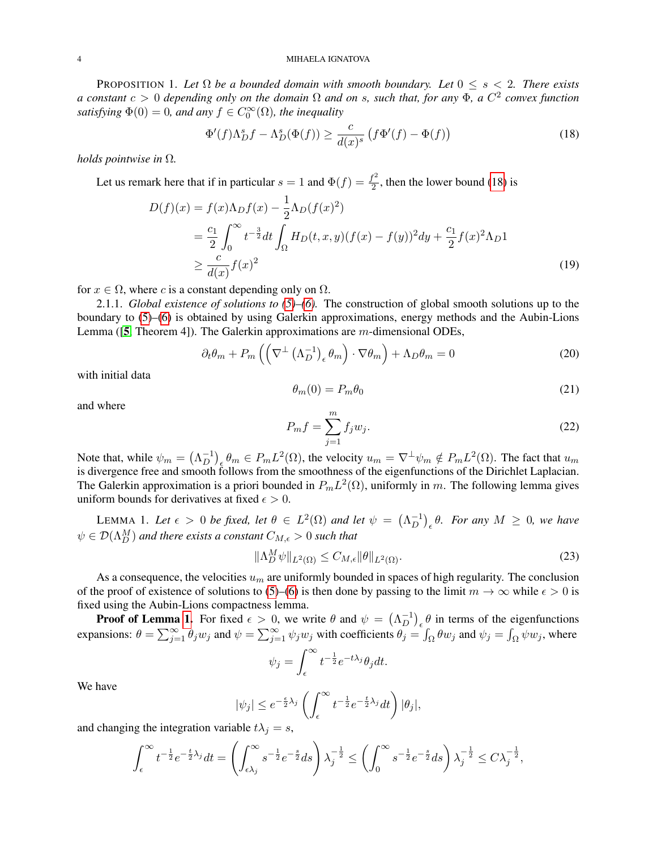#### 4 MIHAELA IGNATOVA

<span id="page-3-2"></span>PROPOSITION 1. Let  $\Omega$  *be a bounded domain with smooth boundary. Let*  $0 \le s < 2$ *. There exists a constant* c > 0 *depending only on the domain* Ω *and on* s*, such that, for any* Φ*, a* C 2 *convex function* satisfying  $\Phi(0) = 0$ , and any  $f \in C_0^{\infty}(\Omega)$ , the inequality

<span id="page-3-0"></span>
$$
\Phi'(f)\Lambda_D^s f - \Lambda_D^s(\Phi(f)) \ge \frac{c}{d(x)^s} \left(f\Phi'(f) - \Phi(f)\right) \tag{18}
$$

*holds pointwise in* Ω*.*

Let us remark here that if in particular  $s = 1$  and  $\Phi(f) = \frac{f^2}{2}$  $\frac{1}{2}$ , then the lower bound [\(18\)](#page-3-0) is

$$
D(f)(x) = f(x)\Lambda_D f(x) - \frac{1}{2}\Lambda_D(f(x)^2)
$$
  
=  $\frac{c_1}{2} \int_0^\infty t^{-\frac{3}{2}} dt \int_{\Omega} H_D(t, x, y) (f(x) - f(y))^2 dy + \frac{c_1}{2} f(x)^2 \Lambda_D 1$   
 $\ge \frac{c}{d(x)} f(x)^2$  (19)

for  $x \in \Omega$ , where c is a constant depending only on  $\Omega$ .

2.1.1. *Global existence of solutions to [\(5\)](#page-1-0)–[\(6\)](#page-1-1).* The construction of global smooth solutions up to the boundary to [\(5\)](#page-1-0)–[\(6\)](#page-1-1) is obtained by using Galerkin approximations, energy methods and the Aubin-Lions Lemma ([[5](#page-14-14), Theorem 4]). The Galerkin approximations are m-dimensional ODEs,

$$
\partial_t \theta_m + P_m \left( \left( \nabla^{\perp} \left( \Lambda_D^{-1} \right)_{\epsilon} \theta_m \right) \cdot \nabla \theta_m \right) + \Lambda_D \theta_m = 0 \tag{20}
$$

with initial data

<span id="page-3-4"></span>
$$
\theta_m(0) = P_m \theta_0 \tag{21}
$$

and where

$$
P_m f = \sum_{j=1}^m f_j w_j.
$$
\n<sup>(22)</sup>

Note that, while  $\psi_m = (\Lambda_D^{-1})$  $\left(D^{-1}\right)_{\epsilon}\theta_m \in P_m L^2(\Omega)$ , the velocity  $u_m = \nabla^{\perp}\psi_m \notin P_m L^2(\Omega)$ . The fact that  $u_m$ is divergence free and smooth follows from the smoothness of the eigenfunctions of the Dirichlet Laplacian. The Galerkin approximation is a priori bounded in  $P_m L^2(\Omega)$ , uniformly in m. The following lemma gives uniform bounds for derivatives at fixed  $\epsilon > 0$ .

<span id="page-3-1"></span>LEMMA 1. Let  $\epsilon > 0$  be fixed, let  $\theta \in L^2(\Omega)$  and let  $\psi = (\Lambda_D^{-1})^2$  $\binom{-1}{D}_\epsilon \theta$ . For any  $M \geq 0$ , we have  $\psi \in \mathcal{D}(\Lambda_D^M)$  and there exists a constant  $C_{M, \epsilon} > 0$  such that

<span id="page-3-3"></span>
$$
\|\Lambda_D^M \psi\|_{L^2(\Omega)} \le C_{M,\epsilon} \|\theta\|_{L^2(\Omega)}.
$$
\n
$$
(23)
$$

As a consequence, the velocities  $u_m$  are uniformly bounded in spaces of high regularity. The conclusion of the proof of existence of solutions to [\(5\)](#page-1-0)–[\(6\)](#page-1-1) is then done by passing to the limit  $m \to \infty$  while  $\epsilon > 0$  is fixed using the Aubin-Lions compactness lemma.

**Proof of Lemma [1.](#page-3-1)** For fixed  $\epsilon > 0$ , we write  $\theta$  and  $\psi = (\Lambda_D^{-1})$  $\begin{bmatrix} -1 \\ D \end{bmatrix}_{\epsilon}$   $\theta$  in terms of the eigenfunctions expansions:  $\theta = \sum_{j=1}^{\infty} \theta_j w_j$  and  $\psi = \sum_{j=1}^{\infty} \psi_j w_j$  with coefficients  $\theta_j = \int_{\Omega} \theta w_j$  and  $\psi_j = \int_{\Omega} \psi w_j$ , where

$$
\psi_j = \int_{\epsilon}^{\infty} t^{-\frac{1}{2}} e^{-t\lambda_j} \theta_j dt.
$$

We have

$$
|\psi_j| \le e^{-\frac{\epsilon}{2}\lambda_j} \left( \int_{\epsilon}^{\infty} t^{-\frac{1}{2}} e^{-\frac{t}{2}\lambda_j} dt \right) |\theta_j|,
$$

and changing the integration variable  $t\lambda_j = s$ ,

$$
\int_{\epsilon}^{\infty} t^{-\frac{1}{2}} e^{-\frac{t}{2}\lambda_j} dt = \left( \int_{\epsilon\lambda_j}^{\infty} s^{-\frac{1}{2}} e^{-\frac{s}{2}} ds \right) \lambda_j^{-\frac{1}{2}} \le \left( \int_0^{\infty} s^{-\frac{1}{2}} e^{-\frac{s}{2}} ds \right) \lambda_j^{-\frac{1}{2}} \le C \lambda_j^{-\frac{1}{2}},
$$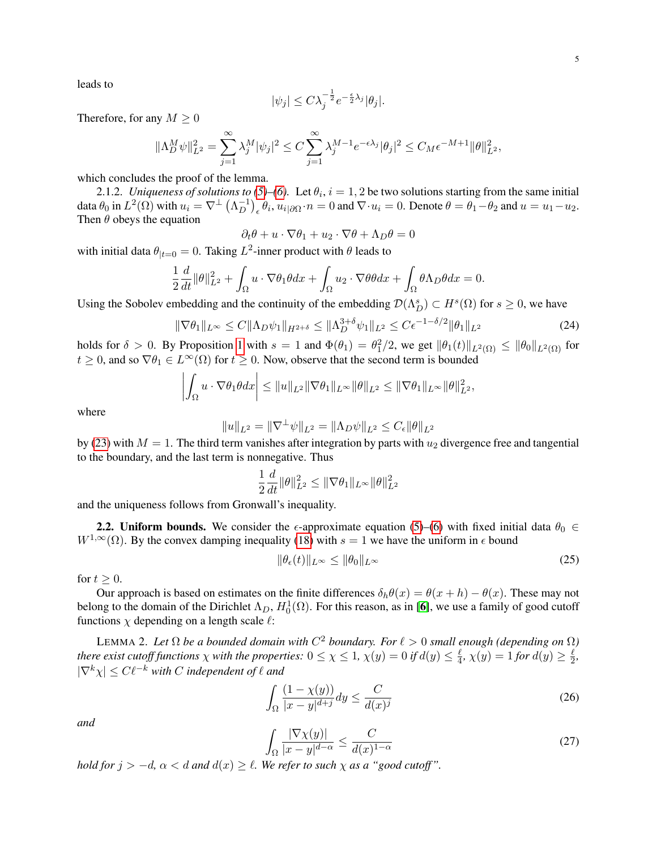leads to

$$
|\psi_j| \leq C \lambda_j^{-\frac{1}{2}} e^{-\frac{\epsilon}{2}\lambda_j} |\theta_j|.
$$

Therefore, for any  $M \geq 0$ 

$$
\|\Lambda_D^M \psi\|_{L^2}^2 = \sum_{j=1}^{\infty} \lambda_j^M |\psi_j|^2 \le C \sum_{j=1}^{\infty} \lambda_j^{M-1} e^{-\epsilon \lambda_j} |\theta_j|^2 \le C_M \epsilon^{-M+1} \|\theta\|_{L^2}^2,
$$

which concludes the proof of the lemma.

2.1.2. *Uniqueness of solutions to [\(5\)](#page-1-0)–[\(6\)](#page-1-1)*. Let  $\theta_i$ ,  $i = 1, 2$  be two solutions starting from the same initial data  $\theta_0$  in  $L^2(\Omega)$  with  $u_i = \nabla^{\perp} (\Lambda_D^{-1})$  $\bigcup_{D}^{-1}\big)_\epsilon \theta_i$ ,  $u_i|_{\partial\Omega} \cdot n = 0$  and  $\nabla \cdot u_i = 0$ . Denote  $\theta = \theta_1 - \theta_2$  and  $u = u_1 - u_2$ . Then  $\theta$  obeys the equation

$$
\partial_t \theta + u \cdot \nabla \theta_1 + u_2 \cdot \nabla \theta + \Lambda_D \theta = 0
$$

with initial data  $\theta_{|t=0} = 0$ . Taking  $L^2$ -inner product with  $\theta$  leads to

$$
\frac{1}{2}\frac{d}{dt}\|\theta\|_{L^2}^2 + \int_{\Omega} u \cdot \nabla \theta_1 \theta dx + \int_{\Omega} u_2 \cdot \nabla \theta \theta dx + \int_{\Omega} \theta \Lambda_D \theta dx = 0.
$$

Using the Sobolev embedding and the continuity of the embedding  $\mathcal{D}(\Lambda_D^s) \subset H^s(\Omega)$  for  $s \geq 0$ , we have

$$
\|\nabla \theta_1\|_{L^{\infty}} \le C \|\Lambda_D \psi_1\|_{H^{2+\delta}} \le \|\Lambda_D^{3+\delta} \psi_1\|_{L^2} \le C\epsilon^{-1-\delta/2} \|\theta_1\|_{L^2}
$$
(24)

holds for  $\delta > 0$ . By Proposition [1](#page-3-2) with  $s = 1$  and  $\Phi(\theta_1) = \theta_1^2/2$ , we get  $\|\theta_1(t)\|_{L^2(\Omega)} \le \|\theta_0\|_{L^2(\Omega)}$  for  $t \geq 0$ , and so  $\nabla \theta_1 \in L^{\infty}(\Omega)$  for  $t \geq 0$ . Now, observe that the second term is bounded

$$
\left|\int_{\Omega} u \cdot \nabla \theta_1 \theta dx\right| \leq \|u\|_{L^2} \|\nabla \theta_1\|_{L^\infty} \|\theta\|_{L^2} \leq \|\nabla \theta_1\|_{L^\infty} \|\theta\|_{L^2}^2,
$$

where

$$
||u||_{L^2} = ||\nabla^{\perp}\psi||_{L^2} = ||\Lambda_D\psi||_{L^2} \leq C_{\epsilon} ||\theta||_{L^2}
$$

by [\(23\)](#page-3-3) with  $M = 1$ . The third term vanishes after integration by parts with  $u_2$  divergence free and tangential to the boundary, and the last term is nonnegative. Thus

$$
\frac{1}{2}\frac{d}{dt}\|\theta\|_{L^2}^2 \le \|\nabla \theta_1\|_{L^\infty}\|\theta\|_{L^2}^2
$$

and the uniqueness follows from Gronwall's inequality.

**2.2. Uniform bounds.** We consider the  $\epsilon$ -approximate equation [\(5\)](#page-1-0)–[\(6\)](#page-1-1) with fixed initial data  $\theta_0 \in$  $W^{1,\infty}(\Omega)$ . By the convex damping inequality [\(18\)](#page-3-0) with  $s = 1$  we have the uniform in  $\epsilon$  bound

$$
\|\theta_{\epsilon}(t)\|_{L^{\infty}} \le \|\theta_0\|_{L^{\infty}}
$$
\n(25)

for  $t > 0$ .

Our approach is based on estimates on the finite differences  $\delta_h \theta(x) = \theta(x+h) - \theta(x)$ . These may not belong to the domain of the Dirichlet  $\Lambda_D$ ,  $H_0^1(\Omega)$ . For this reason, as in [[6](#page-14-13)], we use a family of good cutoff functions  $\chi$  depending on a length scale  $\ell$ :

<span id="page-4-0"></span>LEMMA 2. Let  $\Omega$  be a bounded domain with  $C^2$  boundary. For  $\ell > 0$  small enough (depending on  $\Omega$ ) *there exist cutoff functions*  $\chi$  *with the properties:*  $0 \leq \chi \leq 1$ ,  $\chi(y) = 0$  if  $d(y) \leq \frac{\ell}{4}$  $\frac{\ell}{4}$ ,  $\chi(y) = 1$  for  $d(y) \geq \frac{\ell}{2}$  $\frac{\ell}{2}$  $|\nabla^k \chi| \leq C \ell^{-k}$  *with* C *independent of*  $\ell$  *and* 

<span id="page-4-1"></span>
$$
\int_{\Omega} \frac{(1 - \chi(y))}{|x - y|^{d+j}} dy \le \frac{C}{d(x)^j}
$$
\n(26)

*and*

<span id="page-4-2"></span>
$$
\int_{\Omega} \frac{|\nabla \chi(y)|}{|x - y|^{d - \alpha}} \le \frac{C}{d(x)^{1 - \alpha}} \tag{27}
$$

*hold for*  $j > -d$ ,  $\alpha < d$  *and*  $d(x) \ge l$ *. We refer to such*  $\chi$  *as a "good cutoff".*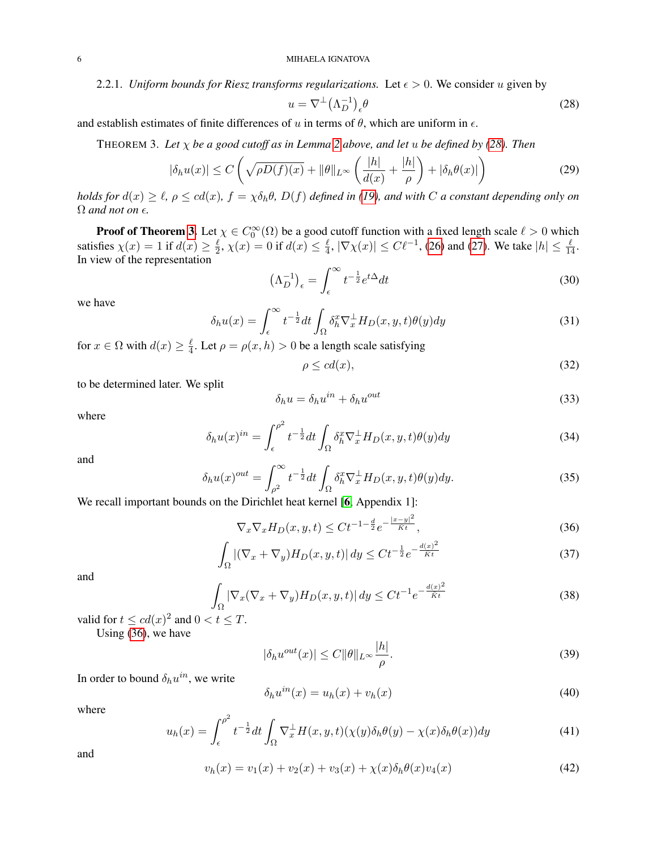2.2.1. *Uniform bounds for Riesz transforms regularizations.* Let  $\epsilon > 0$ . We consider u given by

<span id="page-5-0"></span>
$$
u = \nabla^{\perp} (\Lambda_D^{-1})_{\epsilon} \theta \tag{28}
$$

<span id="page-5-1"></span>and establish estimates of finite differences of u in terms of  $\theta$ , which are uniform in  $\epsilon$ .

THEOREM 3. *Let* χ *be a good cutoff as in Lemma [2](#page-4-0) above, and let* u *be defined by [\(28\)](#page-5-0). Then*

$$
|\delta_h u(x)| \le C \left( \sqrt{\rho D(f)(x)} + \|\theta\|_{L^\infty} \left( \frac{|h|}{d(x)} + \frac{|h|}{\rho} \right) + |\delta_h \theta(x)| \right) \tag{29}
$$

*holds for*  $d(x) \ge \ell$ ,  $\rho \le cd(x)$ ,  $f = \chi \delta_h \theta$ ,  $D(f)$  *defined in* [\(19\)](#page-3-4)*, and with* C *a constant depending only on*  $\Omega$  *and not on*  $\epsilon$ .

**Proof of Theorem [3.](#page-5-1)** Let  $\chi \in C_0^{\infty}(\Omega)$  be a good cutoff function with a fixed length scale  $\ell > 0$  which satisfies  $\chi(x) = 1$  if  $d(x) \ge \frac{\ell}{2}$  $\frac{\ell}{2}$ ,  $\chi(x) = 0$  if  $d(x) \leq \frac{\ell}{4}$  $\frac{\ell}{4}$ ,  $|\nabla \chi(x)| \leq C \ell^{-1}$ , [\(26\)](#page-4-1) and [\(27\)](#page-4-2). We take  $|h| \leq \frac{\ell}{14}$ . In view of the representation

$$
\left(\Lambda_D^{-1}\right)_\epsilon = \int_\epsilon^\infty t^{-\frac{1}{2}} e^{t\Delta} dt \tag{30}
$$

we have

$$
\delta_h u(x) = \int_{\epsilon}^{\infty} t^{-\frac{1}{2}} dt \int_{\Omega} \delta_h^x \nabla_x^{\perp} H_D(x, y, t) \theta(y) dy \tag{31}
$$

for  $x \in \Omega$  with  $d(x) \geq \frac{\ell}{4}$  $\frac{\ell}{4}$ . Let  $\rho = \rho(x, h) > 0$  be a length scale satisfying

$$
\rho \le cd(x),\tag{32}
$$

to be determined later. We split

$$
\delta_h u = \delta_h u^{in} + \delta_h u^{out} \tag{33}
$$

where

$$
\delta_h u(x)^{in} = \int_{\epsilon}^{\rho^2} t^{-\frac{1}{2}} dt \int_{\Omega} \delta_h^x \nabla_x^{\perp} H_D(x, y, t) \theta(y) dy \tag{34}
$$

and

$$
\delta_h u(x)^{out} = \int_{\rho^2}^{\infty} t^{-\frac{1}{2}} dt \int_{\Omega} \delta_h^x \nabla_x^{\perp} H_D(x, y, t) \theta(y) dy.
$$
\n(35)

We recall important bounds on the Dirichlet heat kernel [[6](#page-14-13), Appendix 1]:

<span id="page-5-2"></span>
$$
\nabla_x \nabla_x H_D(x, y, t) \le C t^{-1 - \frac{d}{2}} e^{-\frac{|x - y|^2}{\tilde{K}t}},\tag{36}
$$

<span id="page-5-5"></span>
$$
\int_{\Omega} |(\nabla_x + \nabla_y) H_D(x, y, t)| dy \le Ct^{-\frac{1}{2}} e^{-\frac{d(x)^2}{Kt}} \tag{37}
$$

and

<span id="page-5-4"></span>
$$
\int_{\Omega} |\nabla_x (\nabla_x + \nabla_y) H_D(x, y, t)| dy \le Ct^{-1} e^{-\frac{d(x)^2}{\tilde{K}t}} \tag{38}
$$

valid for  $t \leq cd(x)^2$  and  $0 < t \leq T$ .

Using [\(36\)](#page-5-2), we have

<span id="page-5-6"></span>
$$
|\delta_h u^{out}(x)| \le C ||\theta||_{L^\infty} \frac{|h|}{\rho}.\tag{39}
$$

In order to bound  $\delta_h u^{in}$ , we write

$$
\delta_h u^{in}(x) = u_h(x) + v_h(x) \tag{40}
$$

where

<span id="page-5-7"></span>
$$
u_h(x) = \int_{\epsilon}^{\rho^2} t^{-\frac{1}{2}} dt \int_{\Omega} \nabla_x^{\perp} H(x, y, t) (\chi(y) \delta_h \theta(y) - \chi(x) \delta_h \theta(x)) dy \tag{41}
$$

and

<span id="page-5-3"></span>
$$
v_h(x) = v_1(x) + v_2(x) + v_3(x) + \chi(x)\delta_h\theta(x)v_4(x)
$$
\n(42)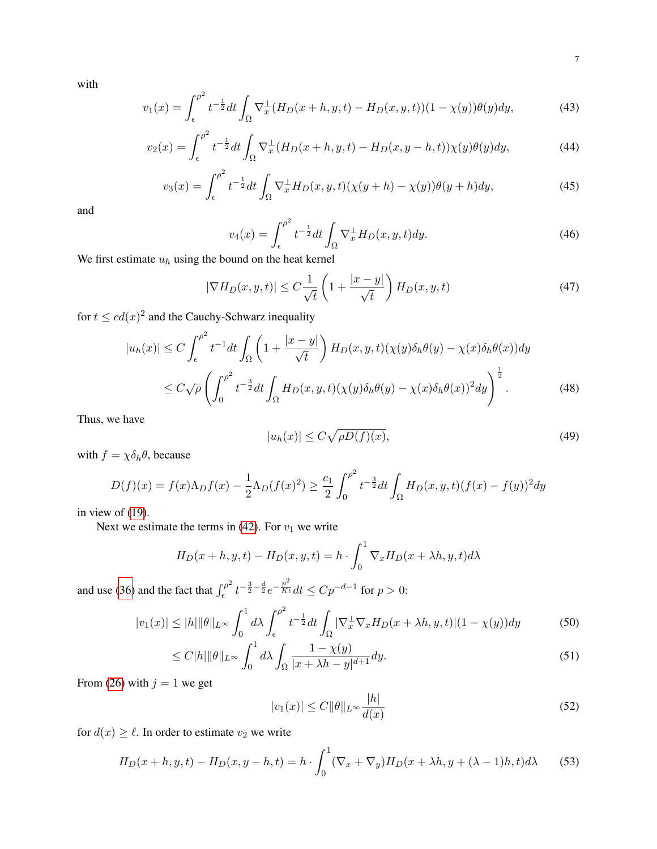with

$$
v_1(x) = \int_{\epsilon}^{\rho^2} t^{-\frac{1}{2}} dt \int_{\Omega} \nabla_x^{\perp} (H_D(x+h, y, t) - H_D(x, y, t))(1 - \chi(y)) \theta(y) dy,
$$
 (43)

$$
v_2(x) = \int_{\epsilon}^{\rho^2} t^{-\frac{1}{2}} dt \int_{\Omega} \nabla_x^{\perp} (H_D(x+h, y, t) - H_D(x, y-h, t)) \chi(y) \theta(y) dy,
$$
 (44)

$$
v_3(x) = \int_{\epsilon}^{\rho^2} t^{-\frac{1}{2}} dt \int_{\Omega} \nabla_x^{\perp} H_D(x, y, t) (\chi(y + h) - \chi(y)) \theta(y + h) dy,
$$
\n(45)

and

$$
v_4(x) = \int_{\epsilon}^{\rho^2} t^{-\frac{1}{2}} dt \int_{\Omega} \nabla_x^{\perp} H_D(x, y, t) dy.
$$
 (46)

We first estimate  $u_h$  using the bound on the heat kernel

<span id="page-6-0"></span>
$$
|\nabla H_D(x, y, t)| \le C \frac{1}{\sqrt{t}} \left( 1 + \frac{|x - y|}{\sqrt{t}} \right) H_D(x, y, t)
$$
\n(47)

for  $t \leq cd(x)^2$  and the Cauchy-Schwarz inequality

$$
|u_h(x)| \le C \int_{\epsilon}^{\rho^2} t^{-1} dt \int_{\Omega} \left( 1 + \frac{|x - y|}{\sqrt{t}} \right) H_D(x, y, t) (\chi(y) \delta_h \theta(y) - \chi(x) \delta_h \theta(x)) dy
$$
  

$$
\le C \sqrt{\rho} \left( \int_0^{\rho^2} t^{-\frac{3}{2}} dt \int_{\Omega} H_D(x, y, t) (\chi(y) \delta_h \theta(y) - \chi(x) \delta_h \theta(x))^2 dy \right)^{\frac{1}{2}}.
$$
 (48)

Thus, we have

<span id="page-6-1"></span>
$$
|u_h(x)| \le C\sqrt{\rho D(f)(x)},\tag{49}
$$

with  $f = \chi \delta_h \theta$ , because

$$
D(f)(x) = f(x)\Lambda_D f(x) - \frac{1}{2}\Lambda_D(f(x)^2) \ge \frac{c_1}{2} \int_0^{\rho^2} t^{-\frac{3}{2}} dt \int_{\Omega} H_D(x, y, t) (f(x) - f(y))^2 dy
$$

in view of [\(19\)](#page-3-4).

Next we estimate the terms in [\(42\)](#page-5-3). For  $v_1$  we write

$$
H_D(x+h, y, t) - H_D(x, y, t) = h \cdot \int_0^1 \nabla_x H_D(x + \lambda h, y, t) d\lambda
$$

and use [\(36\)](#page-5-2) and the fact that  $\int_{\epsilon}^{\rho^2}$  $\int_{\epsilon}^{\epsilon} t^{-\frac{3}{2} - \frac{d}{2}} e^{-\frac{p^2}{Kt}} dt \le C p^{-d-1}$  for  $p > 0$ :

$$
|v_1(x)| \le |h| \|\theta\|_{L^\infty} \int_0^1 d\lambda \int_\epsilon^{\rho^2} t^{-\frac{1}{2}} dt \int_\Omega |\nabla_x^{\perp} \nabla_x H_D(x + \lambda h, y, t)| (1 - \chi(y)) dy \tag{50}
$$

$$
\leq C|h|\|\theta\|_{L^{\infty}} \int_0^1 d\lambda \int_{\Omega} \frac{1 - \chi(y)}{|x + \lambda h - y|^{d+1}} dy. \tag{51}
$$

From [\(26\)](#page-4-1) with  $j = 1$  we get

$$
|v_1(x)| \le C \|\theta\|_{L^\infty} \frac{|h|}{d(x)}\tag{52}
$$

for  $d(x) \geq \ell$ . In order to estimate  $v_2$  we write

$$
H_D(x+h, y, t) - H_D(x, y-h, t) = h \cdot \int_0^1 (\nabla_x + \nabla_y) H_D(x + \lambda h, y + (\lambda - 1)h, t) d\lambda \tag{53}
$$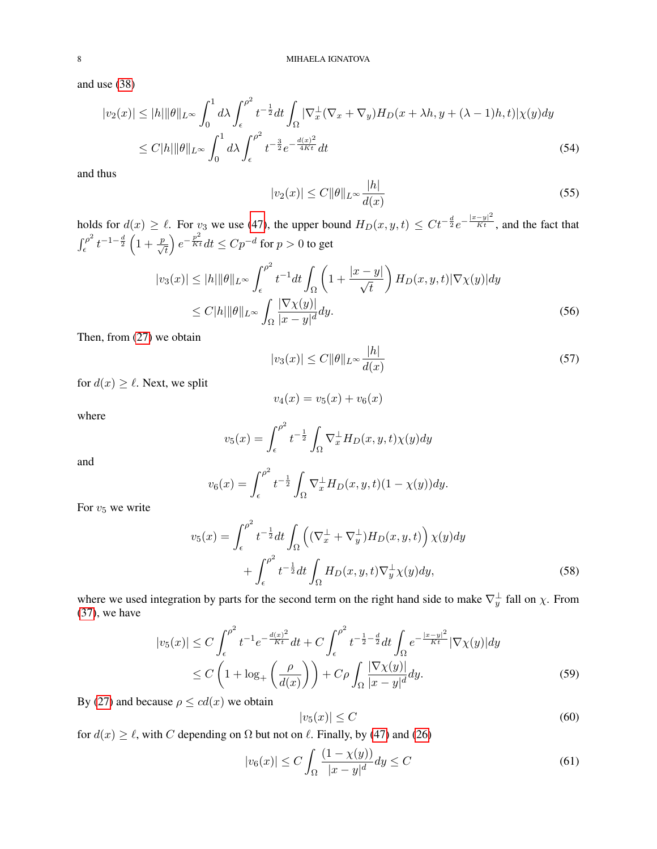and use [\(38\)](#page-5-4)

$$
|v_2(x)| \le |h| \|\theta\|_{L^\infty} \int_0^1 d\lambda \int_{\epsilon}^{\rho^2} t^{-\frac{1}{2}} dt \int_{\Omega} |\nabla_x^{\perp} (\nabla_x + \nabla_y) H_D(x + \lambda h, y + (\lambda - 1)h, t) |\chi(y) dy
$$
  

$$
\le C |h| \|\theta\|_{L^\infty} \int_0^1 d\lambda \int_{\epsilon}^{\rho^2} t^{-\frac{3}{2}} e^{-\frac{d(x)^2}{4Kt}} dt
$$
 (54)

and thus

$$
|v_2(x)| \le C \|\theta\|_{L^\infty} \frac{|h|}{d(x)}\tag{55}
$$

holds for  $d(x) \ge \ell$ . For  $v_3$  we use [\(47\)](#page-6-0), the upper bound  $H_D(x, y, t) \le Ct^{-\frac{d}{2}}e^{-\frac{|x-y|^2}{Kt}}$ , and the fact that  $\int_{c}^{\rho^2}$  $\int_{\epsilon}^{\rho^2} t^{-1-\frac{d}{2}} \left(1+\frac{p}{\sqrt{t}}\right)$  $\Big\} e^{-\frac{p^2}{Kt}}dt \leq Cp^{-d}$  for  $p > 0$  to get

$$
|v_3(x)| \le |h| \|\theta\|_{L^\infty} \int_{\epsilon}^{\rho^2} t^{-1} dt \int_{\Omega} \left(1 + \frac{|x - y|}{\sqrt{t}}\right) H_D(x, y, t) |\nabla \chi(y)| dy
$$
  
 
$$
\le C|h| \|\theta\|_{L^\infty} \int_{\Omega} \frac{|\nabla \chi(y)|}{|x - y|^d} dy.
$$
 (56)

Then, from [\(27\)](#page-4-2) we obtain

$$
|v_3(x)| \le C \|\theta\|_{L^\infty} \frac{|h|}{d(x)}\tag{57}
$$

for  $d(x) \geq \ell$ . Next, we split

$$
v_4(x) = v_5(x) + v_6(x)
$$

where

$$
v_5(x) = \int_{\epsilon}^{\rho^2} t^{-\frac{1}{2}} \int_{\Omega} \nabla_x^{\perp} H_D(x, y, t) \chi(y) dy
$$

and

$$
v_6(x) = \int_{\epsilon}^{\rho^2} t^{-\frac{1}{2}} \int_{\Omega} \nabla_x^{\perp} H_D(x, y, t) (1 - \chi(y)) dy.
$$

For  $v_5$  we write

$$
v_5(x) = \int_{\epsilon}^{\rho^2} t^{-\frac{1}{2}} dt \int_{\Omega} \left( (\nabla_x^{\perp} + \nabla_y^{\perp}) H_D(x, y, t) \right) \chi(y) dy
$$

$$
+ \int_{\epsilon}^{\rho^2} t^{-\frac{1}{2}} dt \int_{\Omega} H_D(x, y, t) \nabla_y^{\perp} \chi(y) dy,
$$
(58)

where we used integration by parts for the second term on the right hand side to make  $\nabla_y^{\perp}$  fall on  $\chi$ . From [\(37\)](#page-5-5), we have

$$
|v_5(x)| \le C \int_{\epsilon}^{\rho^2} t^{-1} e^{-\frac{d(x)^2}{Kt}} dt + C \int_{\epsilon}^{\rho^2} t^{-\frac{1}{2} - \frac{d}{2}} dt \int_{\Omega} e^{-\frac{|x-y|^2}{Kt}} |\nabla \chi(y)| dy
$$
  
 
$$
\le C \left( 1 + \log_+ \left( \frac{\rho}{d(x)} \right) \right) + C \rho \int_{\Omega} \frac{|\nabla \chi(y)|}{|x - y|^d} dy. \tag{59}
$$

By [\(27\)](#page-4-2) and because  $\rho \leq cd(x)$  we obtain

$$
|v_5(x)| \le C \tag{60}
$$

for  $d(x) \ge \ell$ , with C depending on  $\Omega$  but not on  $\ell$ . Finally, by [\(47\)](#page-6-0) and [\(26\)](#page-4-1)

$$
|v_6(x)| \le C \int_{\Omega} \frac{(1 - \chi(y))}{|x - y|^d} dy \le C \tag{61}
$$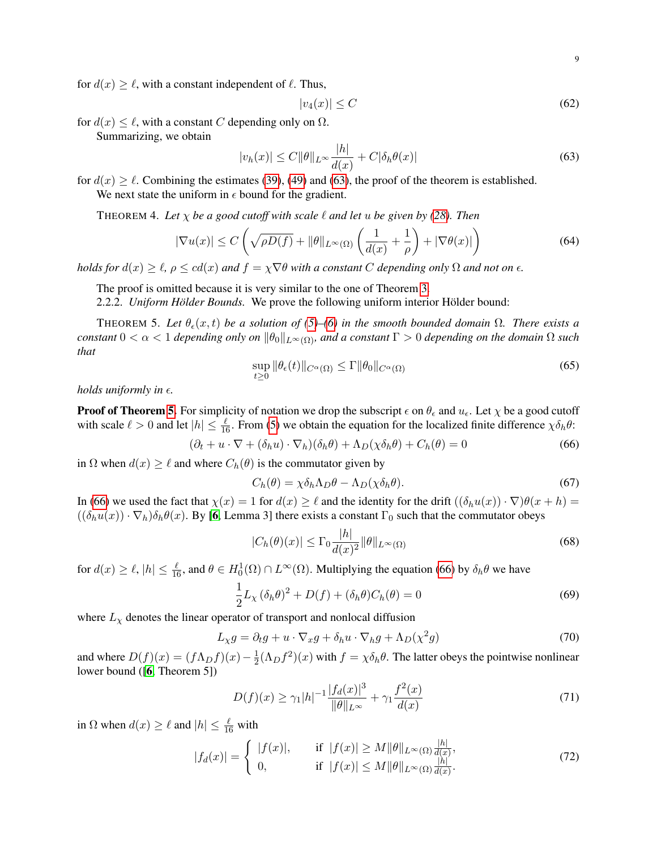for  $d(x) \geq \ell$ , with a constant independent of  $\ell$ . Thus,

$$
|v_4(x)| \le C \tag{62}
$$

for  $d(x) \leq \ell$ , with a constant C depending only on  $\Omega$ .

Summarizing, we obtain

<span id="page-8-0"></span>
$$
|v_h(x)| \le C \|\theta\|_{L^\infty} \frac{|h|}{d(x)} + C|\delta_h \theta(x)| \tag{63}
$$

for  $d(x) \ge \ell$ . Combining the estimates [\(39\)](#page-5-6), [\(49\)](#page-6-1) and [\(63\)](#page-8-0), the proof of the theorem is established. We next state the uniform in  $\epsilon$  bound for the gradient.

THEOREM 4. Let  $\chi$  *be a good cutoff with scale*  $\ell$  *and let u be given by [\(28\)](#page-5-0). Then* 

<span id="page-8-7"></span>
$$
|\nabla u(x)| \le C\left(\sqrt{\rho D(f)} + \|\theta\|_{L^{\infty}(\Omega)} \left(\frac{1}{d(x)} + \frac{1}{\rho}\right) + |\nabla \theta(x)|\right)
$$
(64)

*holds for*  $d(x) \ge \ell$ ,  $\rho \le cd(x)$  *and*  $f = \chi \nabla \theta$  *with a constant* C *depending only*  $\Omega$  *and not on*  $\epsilon$ *.* 

The proof is omitted because it is very similar to the one of Theorem [3.](#page-5-1)

2.2.2. *Uniform Hölder Bounds*. We prove the following uniform interior Hölder bound:

<span id="page-8-1"></span>THEOREM 5. Let  $\theta_{\epsilon}(x,t)$  be a solution of [\(5\)](#page-1-0)–[\(6\)](#page-1-1) in the smooth bounded domain  $\Omega$ . There exists a *constant*  $0 < \alpha < 1$  *depending only on*  $\|\theta_0\|_{L^{\infty}(\Omega)}$ *, and a constant*  $\Gamma > 0$  *depending on the domain*  $\Omega$  *such that*

<span id="page-8-8"></span>
$$
\sup_{t\geq 0} \|\theta_{\epsilon}(t)\|_{C^{\alpha}(\Omega)} \leq \Gamma \|\theta_0\|_{C^{\alpha}(\Omega)}\tag{65}
$$

*holds uniformly in*  $\epsilon$ *.* 

**Proof of Theorem [5.](#page-8-1)** For simplicity of notation we drop the subscript  $\epsilon$  on  $\theta_{\epsilon}$  and  $u_{\epsilon}$ . Let  $\chi$  be a good cutoff with scale  $\ell > 0$  and let  $|h| \leq \frac{\ell}{16}$ . From [\(5\)](#page-1-0) we obtain the equation for the localized finite difference  $\chi \delta_h \theta$ :

<span id="page-8-2"></span>
$$
(\partial_t + u \cdot \nabla + (\delta_h u) \cdot \nabla_h)(\delta_h \theta) + \Lambda_D(\chi \delta_h \theta) + C_h(\theta) = 0
$$
\n(66)

in  $\Omega$  when  $d(x) \ge \ell$  and where  $C_h(\theta)$  is the commutator given by

$$
C_h(\theta) = \chi \delta_h \Lambda_D \theta - \Lambda_D (\chi \delta_h \theta). \tag{67}
$$

In [\(66\)](#page-8-2) we used the fact that  $\chi(x) = 1$  for  $d(x) \ge \ell$  and the identity for the drift  $((\delta_h u(x)) \cdot \nabla) \theta(x + h) =$  $((\delta_h u(x)) \cdot \nabla_h) \delta_h \theta(x)$ . By [[6](#page-14-13), Lemma 3] there exists a constant  $\Gamma_0$  such that the commutator obeys

<span id="page-8-4"></span>
$$
|C_h(\theta)(x)| \le \Gamma_0 \frac{|h|}{d(x)^2} \|\theta\|_{L^\infty(\Omega)}\tag{68}
$$

for  $d(x) \ge \ell, |h| \le \frac{\ell}{16}$ , and  $\theta \in H_0^1(\Omega) \cap L^\infty(\Omega)$ . Multiplying the equation [\(66\)](#page-8-2) by  $\delta_h \theta$  we have

<span id="page-8-3"></span>
$$
\frac{1}{2}L_{\chi}(\delta_h\theta)^2 + D(f) + (\delta_h\theta)C_h(\theta) = 0
$$
\n(69)

where  $L<sub>\chi</sub>$  denotes the linear operator of transport and nonlocal diffusion

$$
L_{\chi}g = \partial_t g + u \cdot \nabla_x g + \delta_h u \cdot \nabla_h g + \Lambda_D(\chi^2 g) \tag{70}
$$

and where  $D(f)(x) = (f \Lambda_D f)(x) - \frac{1}{2}$  $\frac{1}{2}(\Lambda_D f^2)(x)$  with  $f = \chi \delta_h \theta$ . The latter obeys the pointwise nonlinear lower bound ([[6](#page-14-13), Theorem 5])

<span id="page-8-6"></span>
$$
D(f)(x) \ge \gamma_1 |h|^{-1} \frac{|f_d(x)|^3}{\|\theta\|_{L^\infty}} + \gamma_1 \frac{f^2(x)}{d(x)}\tag{71}
$$

in  $\Omega$  when  $d(x) \ge \ell$  and  $|h| \le \frac{\ell}{16}$  with

<span id="page-8-5"></span>
$$
|f_d(x)| = \begin{cases} |f(x)|, & \text{if } |f(x)| \ge M \|\theta\|_{L^{\infty}(\Omega)} \frac{|h|}{d(x)}, \\ 0, & \text{if } |f(x)| \le M \|\theta\|_{L^{\infty}(\Omega)} \frac{|h|}{d(x)}. \end{cases}
$$
(72)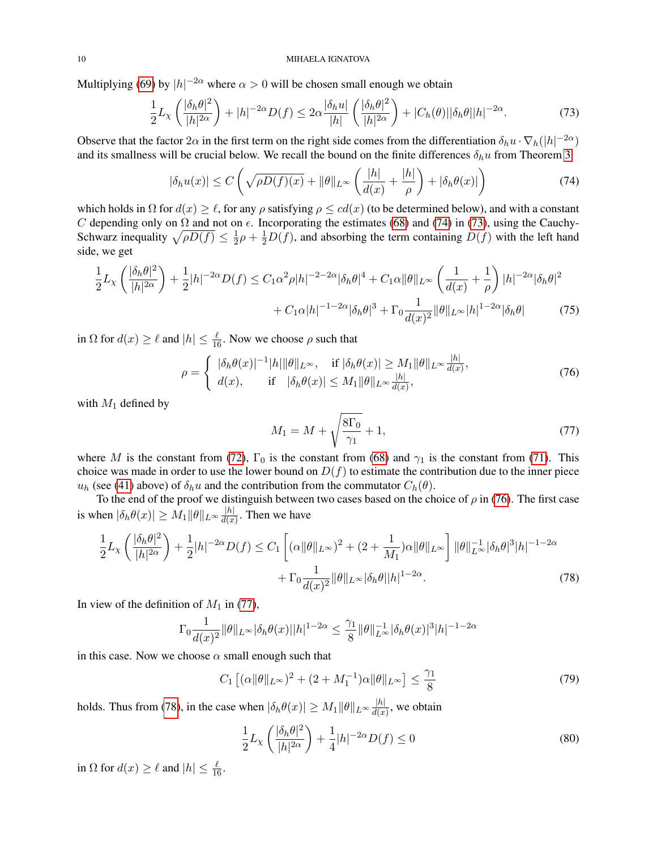Multiplying [\(69\)](#page-8-3) by  $|h|^{-2\alpha}$  where  $\alpha > 0$  will be chosen small enough we obtain

<span id="page-9-1"></span>
$$
\frac{1}{2}L_{\chi}\left(\frac{|\delta_h\theta|^2}{|h|^{2\alpha}}\right) + |h|^{-2\alpha}D(f) \le 2\alpha \frac{|\delta_h u|}{|h|}\left(\frac{|\delta_h\theta|^2}{|h|^{2\alpha}}\right) + |C_h(\theta)||\delta_h\theta||h|^{-2\alpha}.\tag{73}
$$

Observe that the factor  $2\alpha$  in the first term on the right side comes from the differentiation  $\delta_h u \cdot \nabla_h(|h|^{-2\alpha})$ and its smallness will be crucial below. We recall the bound on the finite differences  $\delta_h u$  from Theorem [3](#page-5-1)

<span id="page-9-0"></span>
$$
|\delta_h u(x)| \le C \left( \sqrt{\rho D(f)(x)} + \|\theta\|_{L^\infty} \left( \frac{|h|}{d(x)} + \frac{|h|}{\rho} \right) + |\delta_h \theta(x)| \right) \tag{74}
$$

which holds in  $\Omega$  for  $d(x) \geq \ell$ , for any  $\rho$  satisfying  $\rho \leq cd(x)$  (to be determined below), and with a constant C depending only on  $\Omega$  and not on  $\epsilon$ . Incorporating the estimates [\(68\)](#page-8-4) and [\(74\)](#page-9-0) in [\(73\)](#page-9-1), using the Cauchy-Schwarz inequality  $\sqrt{\rho D(f)} \leq \frac{1}{2}$  $\frac{1}{2}\rho + \frac{1}{2}D(f)$ , and absorbing the term containing  $D(f)$  with the left hand side, we get

$$
\frac{1}{2}L_{\chi}\left(\frac{|\delta_{h}\theta|^{2}}{|h|^{2\alpha}}\right) + \frac{1}{2}|h|^{-2\alpha}D(f) \leq C_{1}\alpha^{2}\rho|h|^{-2-2\alpha}|\delta_{h}\theta|^{4} + C_{1}\alpha\|\theta\|_{L^{\infty}}\left(\frac{1}{d(x)} + \frac{1}{\rho}\right)|h|^{-2\alpha}|\delta_{h}\theta|^{2} + C_{1}\alpha|h|^{-1-2\alpha}|\delta_{h}\theta|^{3} + \Gamma_{0}\frac{1}{d(x)^{2}}\|\theta\|_{L^{\infty}}|h|^{1-2\alpha}|\delta_{h}\theta|
$$
\n(75)

in  $\Omega$  for  $d(x) \ge \ell$  and  $|h| \le \frac{\ell}{16}$ . Now we choose  $\rho$  such that

<span id="page-9-2"></span>
$$
\rho = \begin{cases} |\delta_h \theta(x)|^{-1} |h| \|\theta\|_{L^\infty}, & \text{if } |\delta_h \theta(x)| \ge M_1 \|\theta\|_{L^\infty} \frac{|h|}{d(x)}, \\ d(x), & \text{if } |\delta_h \theta(x)| \le M_1 \|\theta\|_{L^\infty} \frac{|h|}{d(x)}, \end{cases}
$$
(76)

with  $M_1$  defined by

<span id="page-9-5"></span><span id="page-9-4"></span><span id="page-9-3"></span>
$$
M_1 = M + \sqrt{\frac{8\Gamma_0}{\gamma_1}} + 1,\tag{77}
$$

where M is the constant from [\(72\)](#page-8-5),  $\Gamma_0$  is the constant from [\(68\)](#page-8-4) and  $\gamma_1$  is the constant from [\(71\)](#page-8-6). This choice was made in order to use the lower bound on  $D(f)$  to estimate the contribution due to the inner piece  $u_h$  (see [\(41\)](#page-5-7) above) of  $\delta_h u$  and the contribution from the commutator  $C_h(\theta)$ .

To the end of the proof we distinguish between two cases based on the choice of  $\rho$  in [\(76\)](#page-9-2). The first case is when  $|\delta_h \theta(x)| \geq M_1 ||\theta||_{L^{\infty}} \frac{|h|}{d(x)}$  $\frac{|h|}{d(x)}$ . Then we have

$$
\frac{1}{2}L_{\chi}\left(\frac{|\delta_{h}\theta|^{2}}{|h|^{2\alpha}}\right) + \frac{1}{2}|h|^{-2\alpha}D(f) \leq C_{1}\left[(\alpha\|\theta\|_{L^{\infty}})^{2} + (2 + \frac{1}{M_{1}})\alpha\|\theta\|_{L^{\infty}}\right] \|\theta\|_{L^{\infty}}^{-1}|\delta_{h}\theta|^{3}|h|^{-1-2\alpha} + \Gamma_{0}\frac{1}{d(x)^{2}}\|\theta\|_{L^{\infty}}|\delta_{h}\theta||h|^{1-2\alpha}.
$$
\n(78)

In view of the definition of  $M_1$  in [\(77\)](#page-9-3),

$$
\Gamma_0 \frac{1}{d(x)^2} ||\theta||_{L^\infty} |\delta_h \theta(x)||h|^{1-2\alpha} \le \frac{\gamma_1}{8} ||\theta||_{L^\infty}^{-1} |\delta_h \theta(x)|^3 |h|^{-1-2\alpha}
$$

in this case. Now we choose  $\alpha$  small enough such that

<span id="page-9-6"></span>
$$
C_1 [( \alpha ||\theta ||_{L^{\infty}} )^2 + (2 + M_1^{-1}) \alpha ||\theta ||_{L^{\infty}} ] \le \frac{\gamma_1}{8}
$$
 (79)

holds. Thus from [\(78\)](#page-9-4), in the case when  $|\delta_h \theta(x)| \geq M_1 ||\theta||_{L^{\infty}} \frac{|h|}{d(x)}$  $\frac{|h|}{d(x)}$ , we obtain

<span id="page-9-7"></span>
$$
\frac{1}{2}L_{\chi}\left(\frac{|\delta_h\theta|^2}{|h|^{2\alpha}}\right) + \frac{1}{4}|h|^{-2\alpha}D(f) \le 0\tag{80}
$$

in  $\Omega$  for  $d(x) \ge \ell$  and  $|h| \le \frac{\ell}{16}$ .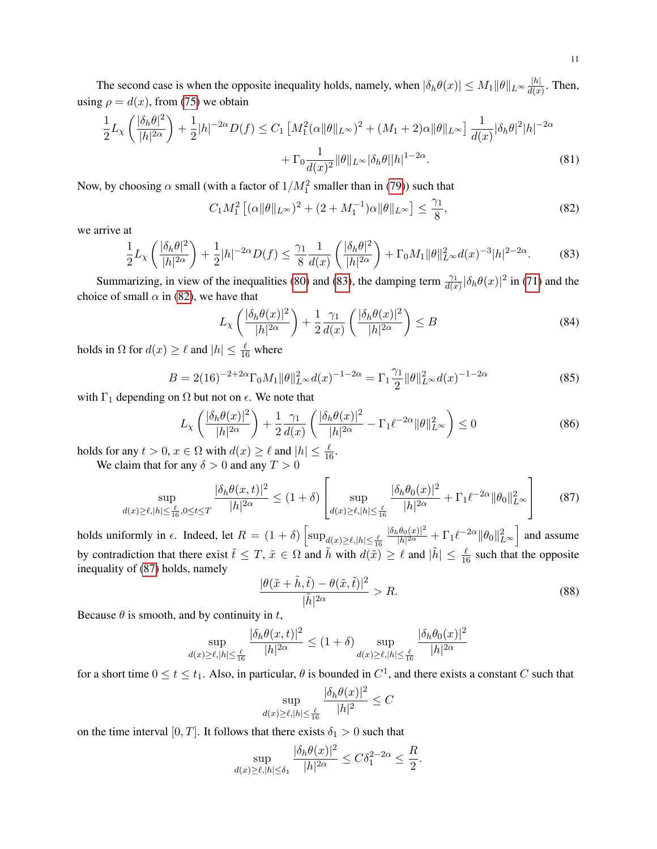The second case is when the opposite inequality holds, namely, when  $|\delta_h \theta(x)| \le M_1 \|\theta\|_{L^\infty} \frac{|h|}{d(x)}$  $\frac{|n|}{d(x)}$ . Then, using  $\rho = d(x)$ , from [\(75\)](#page-9-5) we obtain

$$
\frac{1}{2}L_{\chi}\left(\frac{|\delta_{h}\theta|^{2}}{|h|^{2\alpha}}\right) + \frac{1}{2}|h|^{-2\alpha}D(f) \le C_{1}\left[M_{1}^{2}(\alpha\|\theta\|_{L^{\infty}})^{2} + (M_{1} + 2)\alpha\|\theta\|_{L^{\infty}}\right] \frac{1}{d(x)}|\delta_{h}\theta|^{2}|h|^{-2\alpha} + \Gamma_{0}\frac{1}{d(x)^{2}}\|\theta\|_{L^{\infty}}|\delta_{h}\theta||h|^{1-2\alpha}.
$$
\n(81)

Now, by choosing  $\alpha$  small (with a factor of  $1/M_1^2$  smaller than in [\(79\)](#page-9-6)) such that

<span id="page-10-1"></span>
$$
C_1 M_1^2 \left[ (\alpha \|\theta\|_{L^\infty})^2 + (2 + M_1^{-1})\alpha \|\theta\|_{L^\infty} \right] \le \frac{\gamma_1}{8},\tag{82}
$$

we arrive at

$$
\frac{1}{2}L_{\chi}\left(\frac{|\delta_h\theta|^2}{|h|^{2\alpha}}\right) + \frac{1}{2}|h|^{-2\alpha}D(f) \le \frac{\gamma_1}{8}\frac{1}{d(x)}\left(\frac{|\delta_h\theta|^2}{|h|^{2\alpha}}\right) + \Gamma_0M_1\|\theta\|_{L^{\infty}}^2d(x)^{-3}|h|^{2-2\alpha}.\tag{83}
$$

Summarizing, in view of the inequalities [\(80\)](#page-9-7) and [\(83\)](#page-10-0), the damping term  $\frac{\gamma_1}{d(x)}|\delta_h\theta(x)|^2$  in [\(71\)](#page-8-6) and the choice of small  $\alpha$  in [\(82\)](#page-10-1), we have that

<span id="page-10-0"></span>
$$
L_{\chi}\left(\frac{|\delta_h \theta(x)|^2}{|h|^{2\alpha}}\right) + \frac{1}{2} \frac{\gamma_1}{d(x)} \left(\frac{|\delta_h \theta(x)|^2}{|h|^{2\alpha}}\right) \le B \tag{84}
$$

holds in  $\Omega$  for  $d(x) \ge \ell$  and  $|h| \le \frac{\ell}{16}$  where

$$
B = 2(16)^{-2+2\alpha} \Gamma_0 M_1 \|\theta\|_{L^\infty}^2 d(x)^{-1-2\alpha} = \Gamma_1 \frac{\gamma_1}{2} \|\theta\|_{L^\infty}^2 d(x)^{-1-2\alpha}
$$
(85)

with  $\Gamma_1$  depending on  $\Omega$  but not on  $\epsilon$ . We note that

<span id="page-10-3"></span>
$$
L_{\chi}\left(\frac{|\delta_h \theta(x)|^2}{|h|^{2\alpha}}\right) + \frac{1}{2} \frac{\gamma_1}{d(x)} \left(\frac{|\delta_h \theta(x)|^2}{|h|^{2\alpha}} - \Gamma_1 \ell^{-2\alpha} \|\theta\|_{L^{\infty}}^2\right) \le 0
$$
\n(86)

holds for any  $t > 0$ ,  $x \in \Omega$  with  $d(x) \ge \ell$  and  $|h| \le \frac{\ell}{16}$ .

We claim that for any  $\delta > 0$  and any  $T > 0$ 

<span id="page-10-2"></span>
$$
\sup_{d(x)\geq\ell,|h|\leq\frac{\ell}{16},0\leq t\leq T} \frac{|\delta_h\theta(x,t)|^2}{|h|^{2\alpha}} \leq (1+\delta) \left[ \sup_{d(x)\geq\ell,|h|\leq\frac{\ell}{16}} \frac{|\delta_h\theta_0(x)|^2}{|h|^{2\alpha}} + \Gamma_1 \ell^{-2\alpha} \|\theta_0\|_{L^\infty}^2 \right] \tag{87}
$$

holds uniformly in  $\epsilon$ . Indeed, let  $R = (1 + \delta) \left[ \sup_{d(x) \ge \ell, |h| \le \frac{\ell}{16}} \right]$  $|\delta_h \theta_0(x)|^2$  $\frac{\theta_0(x)|^2}{|h|^{2\alpha}} + \Gamma_1 \ell^{-2\alpha} \|\theta_0\|_{L^\infty}^2$  and assume by contradiction that there exist  $\tilde{t} \leq T$ ,  $\tilde{x} \in \Omega$  and  $\tilde{h}$  with  $d(\tilde{x}) \geq \ell$  and  $|\tilde{h}| \leq \frac{\ell}{16}$  such that the opposite inequality of [\(87\)](#page-10-2) holds, namely

$$
\frac{|\theta(\tilde{x} + \tilde{h}, \tilde{t}) - \theta(\tilde{x}, \tilde{t})|^2}{|\tilde{h}|^{2\alpha}} > R.
$$
 (88)

Because  $\theta$  is smooth, and by continuity in t,

$$
\sup_{d(x)\geq\ell,|h|\leq\frac{\ell}{16}}\frac{|\delta_h\theta(x,t)|^2}{|h|^{2\alpha}}\leq(1+\delta)\sup_{d(x)\geq\ell,|h|\leq\frac{\ell}{16}}\frac{|\delta_h\theta_0(x)|^2}{|h|^{2\alpha}}
$$

for a short time  $0 \le t \le t_1$ . Also, in particular,  $\theta$  is bounded in  $C^1$ , and there exists a constant C such that

$$
\sup_{d(x)\geq \ell, |h|\leq \frac{\ell}{16}} \frac{|\delta_h \theta(x)|^2}{|h|^2} \leq C
$$

on the time interval [0, T]. It follows that there exists  $\delta_1 > 0$  such that

$$
\sup_{d(x)\geq \ell, |h|\leq \delta_1} \frac{|\delta_h \theta(x)|^2}{|h|^{2\alpha}} \leq C\delta_1^{2-2\alpha} \leq \frac{R}{2}.
$$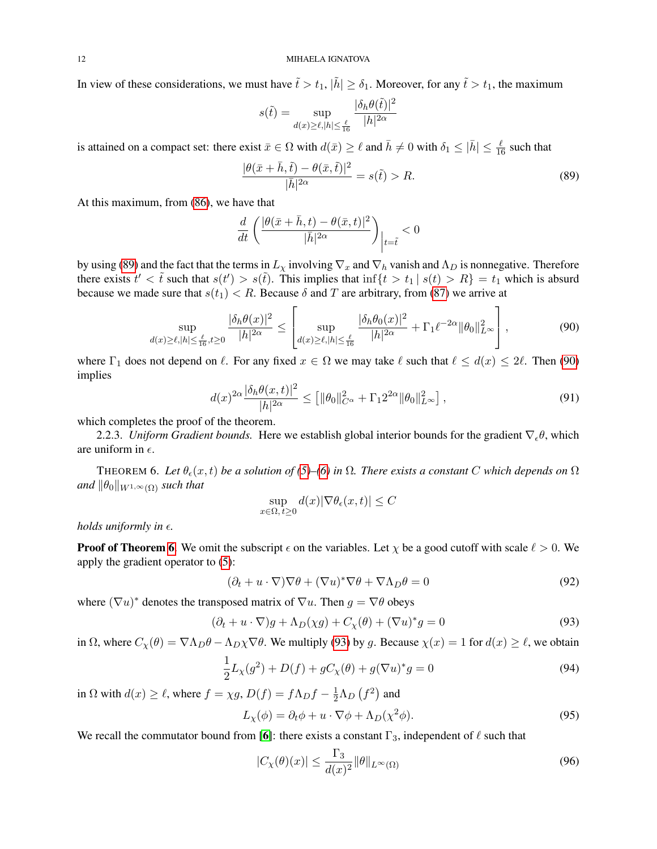In view of these considerations, we must have  $\tilde{t} > t_1$ ,  $|\tilde{h}| \ge \delta_1$ . Moreover, for any  $\tilde{t} > t_1$ , the maximum

$$
s(\tilde{t}) = \sup_{d(x) \ge \ell, |h| \le \frac{\ell}{16}} \frac{|\delta_h \theta(\tilde{t})|^2}{|h|^{2\alpha}}
$$

is attained on a compact set: there exist  $\bar{x} \in \Omega$  with  $d(\bar{x}) \ge \ell$  and  $\bar{h} \ne 0$  with  $\delta_1 \le |\bar{h}| \le \frac{\ell}{16}$  such that

<span id="page-11-0"></span>
$$
\frac{|\theta(\bar{x}+\bar{h},\tilde{t})-\theta(\bar{x},\tilde{t})|^2}{|\bar{h}|^{2\alpha}} = s(\tilde{t}) > R.
$$
\n(89)

At this maximum, from [\(86\)](#page-10-3), we have that

$$
\frac{d}{dt}\left(\frac{|\theta(\bar{x}+\bar{h},t)-\theta(\bar{x},t)|^2}{|\bar{h}|^{2\alpha}}\right)\Big|_{t=\tilde{t}}<0
$$

by using [\(89\)](#page-11-0) and the fact that the terms in  $L_\chi$  involving  $\nabla_x$  and  $\nabla_h$  vanish and  $\Lambda_D$  is nonnegative. Therefore there exists  $t' < \tilde{t}$  such that  $s(t') > s(\tilde{t})$ . This implies that  $\inf\{t > t_1 | s(t) > R\} = t_1$  which is absurd because we made sure that  $s(t_1) < R$ . Because  $\delta$  and T are arbitrary, from [\(87\)](#page-10-2) we arrive at

<span id="page-11-1"></span>
$$
\sup_{d(x)\geq\ell,|h|\leq\frac{\ell}{16},t\geq0}\frac{|\delta_h\theta(x)|^2}{|h|^{2\alpha}}\leq \left[\sup_{d(x)\geq\ell,|h|\leq\frac{\ell}{16}}\frac{|\delta_h\theta_0(x)|^2}{|h|^{2\alpha}}+\Gamma_1\ell^{-2\alpha}\|\theta_0\|_{L^\infty}^2\right],\tag{90}
$$

where  $\Gamma_1$  does not depend on  $\ell$ . For any fixed  $x \in \Omega$  we may take  $\ell$  such that  $\ell \leq d(x) \leq 2\ell$ . Then [\(90\)](#page-11-1) implies

$$
d(x)^{2\alpha} \frac{|\delta_h \theta(x,t)|^2}{|h|^{2\alpha}} \le \left[ \|\theta_0\|_{C^{\alpha}}^2 + \Gamma_1 2^{2\alpha} \|\theta_0\|_{L^{\infty}}^2 \right],\tag{91}
$$

which completes the proof of the theorem.

2.2.3. *Uniform Gradient bounds*. Here we establish global interior bounds for the gradient  $\nabla_e \theta$ , which are uniform in  $\epsilon$ .

<span id="page-11-2"></span>THEOREM 6. Let  $\theta_{\epsilon}(x,t)$  *be a solution of* [\(5\)](#page-1-0)–[\(6\)](#page-1-1) *in*  $\Omega$ *. There exists a constant* C which depends on  $\Omega$ *and*  $\|\theta_0\|_{W^{1,\infty}(\Omega)}$  *such that* 

$$
\sup_{x \in \Omega, t \ge 0} d(x) |\nabla \theta_{\epsilon}(x, t)| \le C
$$

*holds uniformly in*  $\epsilon$ *.* 

**Proof of Theorem [6](#page-11-2).** We omit the subscript  $\epsilon$  on the variables. Let  $\chi$  be a good cutoff with scale  $\ell > 0$ . We apply the gradient operator to [\(5\)](#page-1-0):

$$
(\partial_t + u \cdot \nabla) \nabla \theta + (\nabla u)^* \nabla \theta + \nabla \Lambda_D \theta = 0 \tag{92}
$$

where  $(\nabla u)^*$  denotes the transposed matrix of  $\nabla u$ . Then  $g = \nabla \theta$  obeys

<span id="page-11-3"></span>
$$
(\partial_t + u \cdot \nabla)g + \Lambda_D(\chi g) + C_{\chi}(\theta) + (\nabla u)^* g = 0
$$
\n(93)

in  $\Omega$ , where  $C_{\chi}(\theta) = \nabla \Lambda_D \theta - \Lambda_D \chi \nabla \theta$ . We multiply [\(93\)](#page-11-3) by g. Because  $\chi(x) = 1$  for  $d(x) \ge \ell$ , we obtain

$$
\frac{1}{2}L_{\chi}(g^{2}) + D(f) + gC_{\chi}(\theta) + g(\nabla u)^{*}g = 0
$$
\n(94)

in  $\Omega$  with  $d(x) \ge \ell$ , where  $f = \chi g$ ,  $D(f) = f \Lambda_D f - \frac{1}{2} \Lambda_D (f^2)$  and

$$
L_{\chi}(\phi) = \partial_t \phi + u \cdot \nabla \phi + \Lambda_D(\chi^2 \phi). \tag{95}
$$

We recall the commutator bound from [[6](#page-14-13)]: there exists a constant  $\Gamma_3$ , independent of  $\ell$  such that

<span id="page-11-4"></span>
$$
|C_{\chi}(\theta)(x)| \le \frac{\Gamma_3}{d(x)^2} \|\theta\|_{L^{\infty}(\Omega)} \tag{96}
$$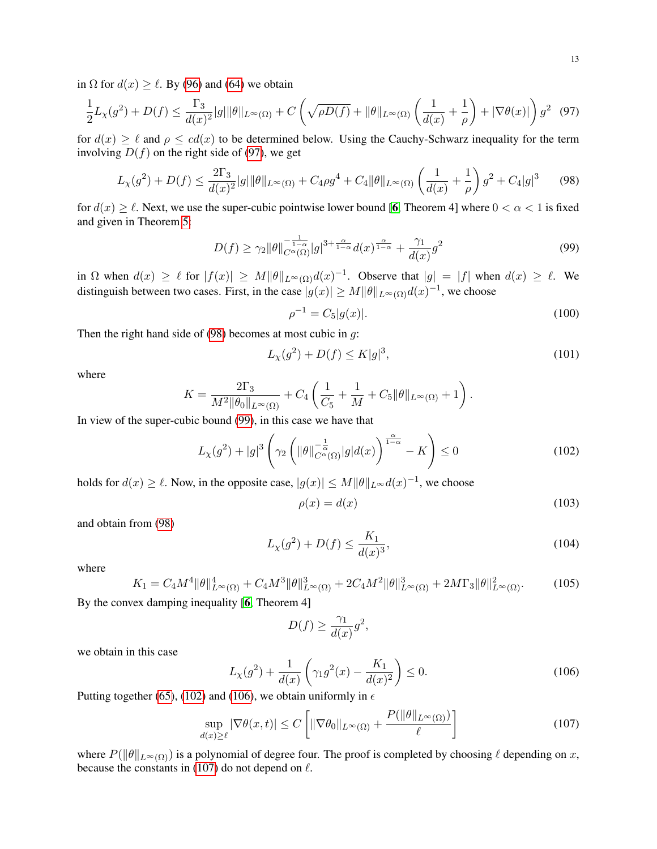in  $\Omega$  for  $d(x) \ge \ell$ . By [\(96\)](#page-11-4) and [\(64\)](#page-8-7) we obtain

<span id="page-12-0"></span>
$$
\frac{1}{2}L_{\chi}(g^2) + D(f) \le \frac{\Gamma_3}{d(x)^2}|g|\|\theta\|_{L^{\infty}(\Omega)} + C\left(\sqrt{\rho D(f)} + \|\theta\|_{L^{\infty}(\Omega)}\left(\frac{1}{d(x)} + \frac{1}{\rho}\right) + |\nabla\theta(x)|\right)g^2 \tag{97}
$$

for  $d(x) \ge \ell$  and  $\rho \le cd(x)$  to be determined below. Using the Cauchy-Schwarz inequality for the term involving  $D(f)$  on the right side of [\(97\)](#page-12-0), we get

<span id="page-12-1"></span>
$$
L_{\chi}(g^{2}) + D(f) \leq \frac{2\Gamma_{3}}{d(x)^{2}}|g||\theta\|_{L^{\infty}(\Omega)} + C_{4}\rho g^{4} + C_{4} \|\theta\|_{L^{\infty}(\Omega)} \left(\frac{1}{d(x)} + \frac{1}{\rho}\right)g^{2} + C_{4}|g|^{3} \qquad (98)
$$

for  $d(x) \ge \ell$ . Next, we use the super-cubic pointwise lower bound [[6](#page-14-13), Theorem 4] where  $0 < \alpha < 1$  is fixed and given in Theorem [5:](#page-8-1)

<span id="page-12-2"></span>
$$
D(f) \ge \gamma_2 \|\theta\|_{C^{\alpha}(\Omega)}^{-\frac{1}{1-\alpha}} |g|^{3+\frac{\alpha}{1-\alpha}} d(x)^{\frac{\alpha}{1-\alpha}} + \frac{\gamma_1}{d(x)} g^2 \tag{99}
$$

in  $\Omega$  when  $d(x) \ge \ell$  for  $|f(x)| \ge M \|\theta\|_{L^{\infty}(\Omega)} d(x)^{-1}$ . Observe that  $|g| = |f|$  when  $d(x) \ge \ell$ . We distinguish between two cases. First, in the case  $|g(x)| \ge M ||\theta||_{L^{\infty}(\Omega)} d(x)^{-1}$ , we choose

$$
\rho^{-1} = C_5|g(x)|.\tag{100}
$$

Then the right hand side of  $(98)$  becomes at most cubic in  $g$ :

$$
L_{\chi}(g^2) + D(f) \le K|g|^3,
$$
\n(101)

where

$$
K = \frac{2\Gamma_3}{M^2 \|\theta_0\|_{L^{\infty}(\Omega)}} + C_4 \left( \frac{1}{C_5} + \frac{1}{M} + C_5 \|\theta\|_{L^{\infty}(\Omega)} + 1 \right).
$$

In view of the super-cubic bound [\(99\)](#page-12-2), in this case we have that

<span id="page-12-3"></span>
$$
L_{\chi}(g^2) + |g|^3 \left(\gamma_2 \left(\|\theta\|_{C^{\alpha}(\Omega)}^{-\frac{1}{\alpha}} |g| d(x)\right)^{\frac{\alpha}{1-\alpha}} - K\right) \le 0\tag{102}
$$

holds for  $d(x) \ge \ell$ . Now, in the opposite case,  $|g(x)| \le M ||\theta||_{L^{\infty}} d(x)^{-1}$ , we choose

$$
\rho(x) = d(x) \tag{103}
$$

and obtain from [\(98\)](#page-12-1)

$$
L_{\chi}(g^2) + D(f) \le \frac{K_1}{d(x)^3},\tag{104}
$$

where

$$
K_1 = C_4 M^4 \|\theta\|_{L^{\infty}(\Omega)}^4 + C_4 M^3 \|\theta\|_{L^{\infty}(\Omega)}^3 + 2C_4 M^2 \|\theta\|_{L^{\infty}(\Omega)}^3 + 2M \Gamma_3 \|\theta\|_{L^{\infty}(\Omega)}^2.
$$
 (105)

By the convex damping inequality [[6](#page-14-13), Theorem 4]

$$
D(f) \ge \frac{\gamma_1}{d(x)}g^2,
$$

we obtain in this case

<span id="page-12-4"></span>
$$
L_{\chi}(g^2) + \frac{1}{d(x)} \left( \gamma_1 g^2(x) - \frac{K_1}{d(x)^2} \right) \le 0. \tag{106}
$$

Putting together [\(65\)](#page-8-8), [\(102\)](#page-12-3) and [\(106\)](#page-12-4), we obtain uniformly in  $\epsilon$ 

<span id="page-12-5"></span>
$$
\sup_{d(x)\geq \ell} |\nabla \theta(x,t)| \leq C \left[ \|\nabla \theta_0\|_{L^\infty(\Omega)} + \frac{P(\|\theta\|_{L^\infty(\Omega)})}{\ell} \right] \tag{107}
$$

where  $P(||\theta||_{L^{\infty}(\Omega)})$  is a polynomial of degree four. The proof is completed by choosing  $\ell$  depending on x, because the constants in [\(107\)](#page-12-5) do not depend on  $\ell$ .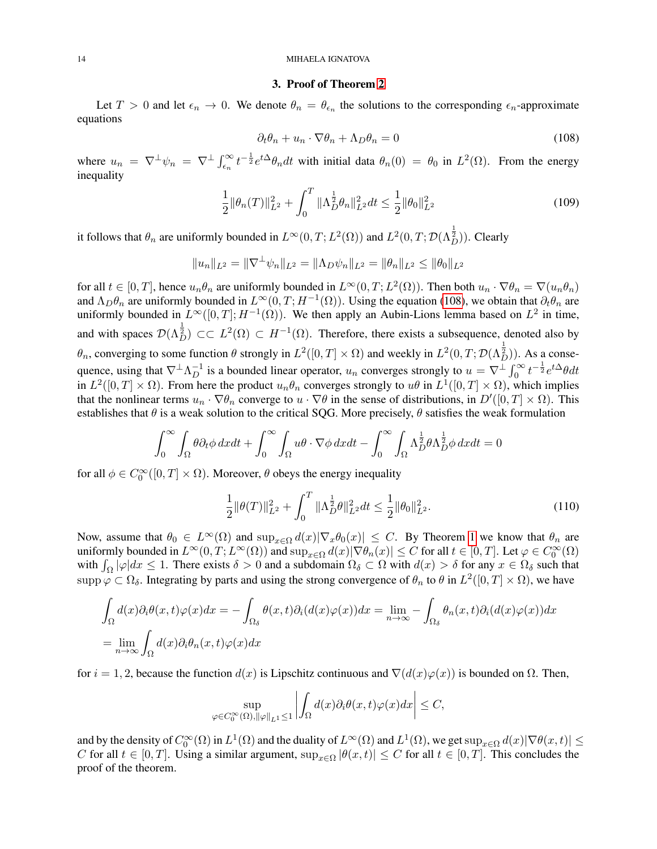#### 14 MIHAELA IGNATOVA

#### 3. Proof of Theorem [2](#page-1-3)

Let  $T > 0$  and let  $\epsilon_n \to 0$ . We denote  $\theta_n = \theta_{\epsilon_n}$  the solutions to the corresponding  $\epsilon_n$ -approximate equations

<span id="page-13-0"></span>
$$
\partial_t \theta_n + u_n \cdot \nabla \theta_n + \Lambda_D \theta_n = 0 \tag{108}
$$

where  $u_n = \nabla^{\perp} \psi_n = \nabla^{\perp} \int_{\epsilon_n}^{\infty} t^{-\frac{1}{2}} e^{t\Delta} \theta_n dt$  with initial data  $\theta_n(0) = \theta_0$  in  $L^2(\Omega)$ . From the energy inequality

$$
\frac{1}{2} \|\theta_n(T)\|_{L^2}^2 + \int_0^T \|\Lambda_D^{\frac{1}{2}}\theta_n\|_{L^2}^2 dt \le \frac{1}{2} \|\theta_0\|_{L^2}^2 \tag{109}
$$

it follows that  $\theta_n$  are uniformly bounded in  $L^{\infty}(0,T;L^2(\Omega))$  and  $L^2(0,T;\mathcal{D}(\Lambda_D^{\frac{1}{2}}))$ . Clearly

$$
||u_n||_{L^2} = ||\nabla^{\perp} \psi_n||_{L^2} = ||\Lambda_D \psi_n||_{L^2} = ||\theta_n||_{L^2} \le ||\theta_0||_{L^2}
$$

for all  $t \in [0,T]$ , hence  $u_n \theta_n$  are uniformly bounded in  $L^{\infty}(0,T; L^2(\Omega))$ . Then both  $u_n \cdot \nabla \theta_n = \nabla(u_n \theta_n)$ and  $\Lambda_D \theta_n$  are uniformly bounded in  $L^\infty(0,T;H^{-1}(\Omega))$ . Using the equation [\(108\)](#page-13-0), we obtain that  $\partial_t \theta_n$  are uniformly bounded in  $L^{\infty}([0,T]; H^{-1}(\Omega))$ . We then apply an Aubin-Lions lemma based on  $L^2$  in time, and with spaces  $\mathcal{D}(\Lambda_D^{\frac{1}{2}}) \subset\subset L^2(\Omega) \subset H^{-1}(\Omega)$ . Therefore, there exists a subsequence, denoted also by  $\theta_n$ , converging to some function  $\theta$  strongly in  $L^2([0,T] \times \Omega)$  and weekly in  $L^2(0,T; \mathcal{D}(\Lambda_D^{\frac{1}{2}}))$ . As a consequence, using that  $\nabla^{\perp}\Lambda_D^{-1}$  is a bounded linear operator,  $u_n$  converges strongly to  $u = \nabla^{\perp}\int_0^{\infty}t^{-\frac{1}{2}}e^{t\Delta}\theta dt$ in  $L^2([0,T] \times \Omega)$ . From here the product  $u_n \theta_n$  converges strongly to  $u\theta$  in  $L^1([0,T] \times \Omega)$ , which implies that the nonlinear terms  $u_n \cdot \nabla \theta_n$  converge to  $u \cdot \nabla \theta$  in the sense of distributions, in  $D'([0,T] \times \Omega)$ . This establishes that  $\theta$  is a weak solution to the critical SQG. More precisely,  $\theta$  satisfies the weak formulation

$$
\int_0^\infty \int_{\Omega} \theta \partial_t \phi \, dxdt + \int_0^\infty \int_{\Omega} u \theta \cdot \nabla \phi \, dxdt - \int_0^\infty \int_{\Omega} \Lambda_D^{\frac{1}{2}} \theta \Lambda_D^{\frac{1}{2}} \phi \, dxdt = 0
$$

for all  $\phi \in C_0^{\infty}([0, T] \times \Omega)$ . Moreover,  $\theta$  obeys the energy inequality

$$
\frac{1}{2} \|\theta(T)\|_{L^2}^2 + \int_0^T \|\Lambda_D^{\frac{1}{2}}\theta\|_{L^2}^2 dt \le \frac{1}{2} \|\theta_0\|_{L^2}^2.
$$
\n(110)

Now, assume that  $\theta_0 \in L^{\infty}(\Omega)$  and  $\sup_{x \in \Omega} d(x) |\nabla_x \theta_0(x)| \leq C$ . By Theorem [1](#page-1-2) we know that  $\theta_n$  are uniformly bounded in  $L^{\infty}(0,T;L^{\infty}(\Omega))$  and  $\sup_{x\in\Omega}d(x)|\nabla\theta_n(x)|\leq C$  for all  $t\in[0,T]$ . Let  $\varphi\in C_0^{\infty}(\Omega)$ with  $\int_{\Omega} |\varphi| dx \leq 1$ . There exists  $\delta > 0$  and a subdomain  $\Omega_{\delta} \subset \Omega$  with  $d(x) > \delta$  for any  $x \in \Omega_{\delta}$  such that supp  $\varphi \subset \Omega_{\delta}$ . Integrating by parts and using the strong convergence of  $\theta_n$  to  $\theta$  in  $L^2([0,T] \times \Omega)$ , we have

$$
\int_{\Omega} d(x)\partial_i \theta(x,t)\varphi(x)dx = -\int_{\Omega_\delta} \theta(x,t)\partial_i (d(x)\varphi(x))dx = \lim_{n \to \infty} -\int_{\Omega_\delta} \theta_n(x,t)\partial_i (d(x)\varphi(x))dx
$$
  
= 
$$
\lim_{n \to \infty} \int_{\Omega} d(x)\partial_i \theta_n(x,t)\varphi(x)dx
$$

for  $i = 1, 2$ , because the function  $d(x)$  is Lipschitz continuous and  $\nabla(d(x)\varphi(x))$  is bounded on  $\Omega$ . Then,

$$
\sup_{\varphi \in C_0^{\infty}(\Omega), ||\varphi||_{L^1} \le 1} \left| \int_{\Omega} d(x) \partial_i \theta(x, t) \varphi(x) dx \right| \le C,
$$

and by the density of  $C_0^{\infty}(\Omega)$  in  $L^1(\Omega)$  and the duality of  $L^{\infty}(\Omega)$  and  $L^1(\Omega)$ , we get  $\sup_{x\in\Omega}d(x)|\nabla\theta(x,t)|\leq$ C for all  $t \in [0, T]$ . Using a similar argument,  $\sup_{x \in \Omega} |\theta(x, t)| \leq C$  for all  $t \in [0, T]$ . This concludes the proof of the theorem.